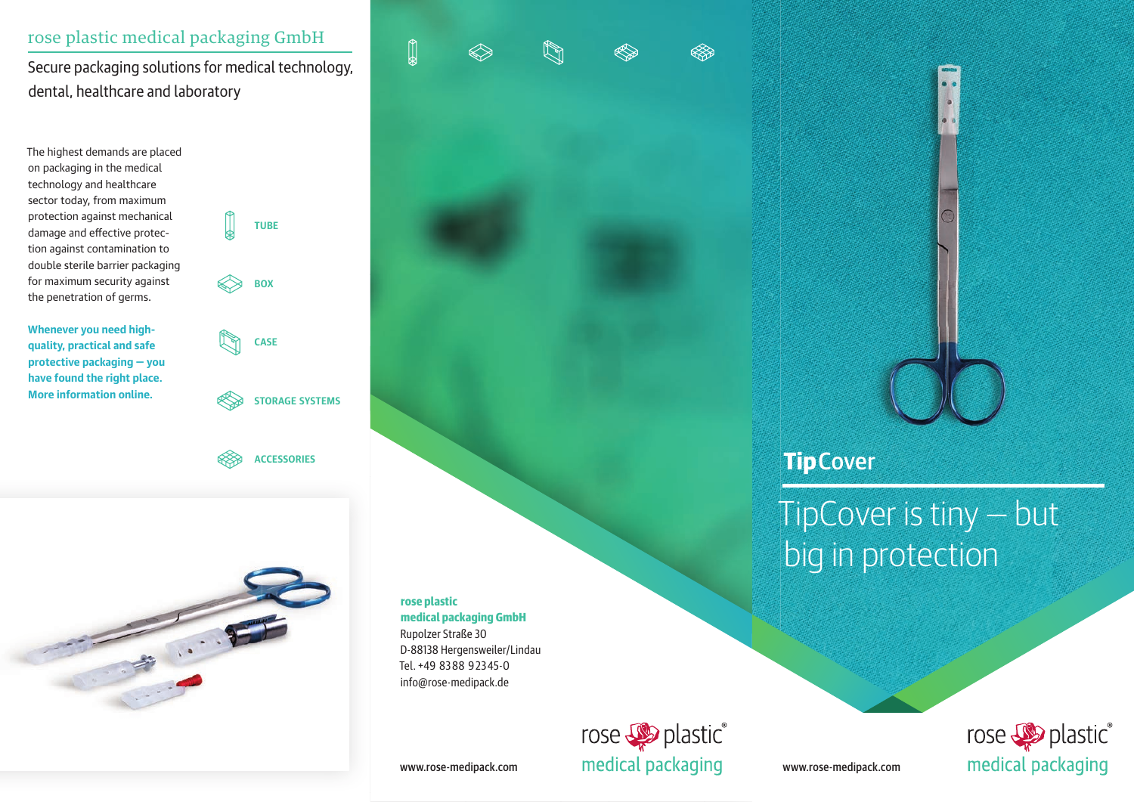### rose plastic medical packaging GmbH

Secure packaging solutions for medical technology, dental, healthcare and laboratory

The highest demands are placed on packaging in the medical technology and healthcare sector today, from maximum protection against mechanical damage and effective protection against contamination to double sterile barrier packaging for maximum security against the penetration of germs.

**Whenever you need highquality, practical and safe protective packaging — you have found the right place. More information online.**

**TUBE BOX CASE STORAGE SYSTEMS**

**ACCESSORIES**





info@rose-medipack.de





 $\ddot{\bullet}$ 

**Tip** Cover

TipCover is tiny — but big in protection



www.rose-medipack.com

www.rose-medipack.com